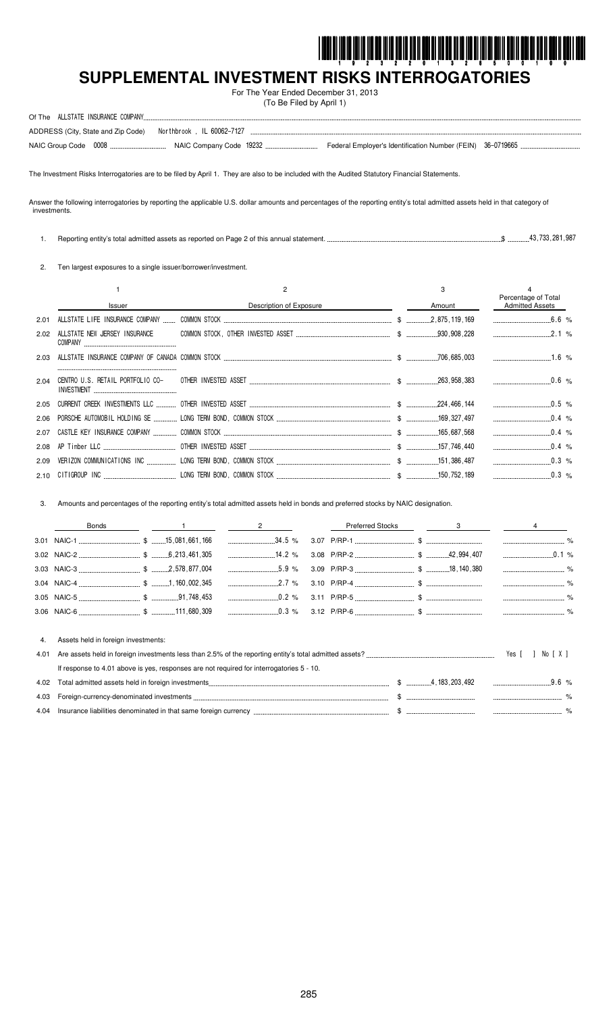

 $\cdot$  %

# SUPPLEMENTAL INVESTMENT RISKS INTERROGATORIES

For The Year Ended December 31, 2013 (To Be Filed by April 1)

| Of The |                                                                 |  |  |
|--------|-----------------------------------------------------------------|--|--|
|        | ADDRESS (City, State and Zip Code)    Northbrook, IL 60062-7127 |  |  |
|        |                                                                 |  |  |

The Investment Risks Interrogatories are to be filed by April 1. They are also to be included with the Audited Statutory Financial Statements.

Answer the following interrogatories by reporting the applicable U.S. dollar amounts and percentages of the reporting entity's total admitted assets held in that category of investments.

 $\sqrt{3}$  .............43,733,281,987 1. Reporting entity's total admitted assets as reported on Page 2 of this annual statement. ...

2. Ten largest exposures to a single issuer/borrower/investment.

|      |                               |                         | 3      |                                               |
|------|-------------------------------|-------------------------|--------|-----------------------------------------------|
|      | <b>Issuer</b>                 | Description of Exposure | Amount | Percentage of Total<br><b>Admitted Assets</b> |
| 2.01 |                               |                         |        |                                               |
| 2.02 | ALLSTATE NEW JERSEY INSURANCE |                         |        | 2.1%                                          |
| 2.03 |                               |                         |        |                                               |
| 2.04 |                               |                         |        |                                               |
| 2.05 |                               |                         |        | $\sim 0.5$ %                                  |
|      |                               |                         |        | $0.4\%$                                       |
| 2.07 |                               |                         |        | $0.4 \, \degree$                              |
| 2.08 |                               |                         |        | $\sim$ 0.4 %                                  |
| 2.09 |                               |                         |        |                                               |
|      |                               |                         |        |                                               |

3. Amounts and percentages of the reporting entity's total admitted assets held in bonds and preferred stocks by NAIC designation.

|      | <b>Bonds</b>                        |                                                                                          | <b>Preferred Stocks</b> |  |                                  |
|------|-------------------------------------|------------------------------------------------------------------------------------------|-------------------------|--|----------------------------------|
|      |                                     | $34.5\%$                                                                                 |                         |  |                                  |
|      |                                     |                                                                                          |                         |  | $\overline{\phantom{a}}$<br>0.1% |
|      |                                     | $5.9 \%$                                                                                 |                         |  |                                  |
|      |                                     |                                                                                          |                         |  |                                  |
|      |                                     |                                                                                          |                         |  |                                  |
|      |                                     | $0.3\%$                                                                                  |                         |  |                                  |
|      |                                     |                                                                                          |                         |  |                                  |
| 4.   | Assets held in foreign investments: |                                                                                          |                         |  |                                  |
| 4.01 |                                     |                                                                                          |                         |  | Yes I<br>1 X 1<br>No.            |
|      |                                     | If response to 4.01 above is yes, responses are not required for interrogatories 5 - 10. |                         |  |                                  |
| 4.02 |                                     |                                                                                          |                         |  | 9.6%                             |
| 4.03 |                                     |                                                                                          |                         |  |                                  |

4.04 Insurance liabilities denominated in that same foreign currency ...  $.$  \$ ...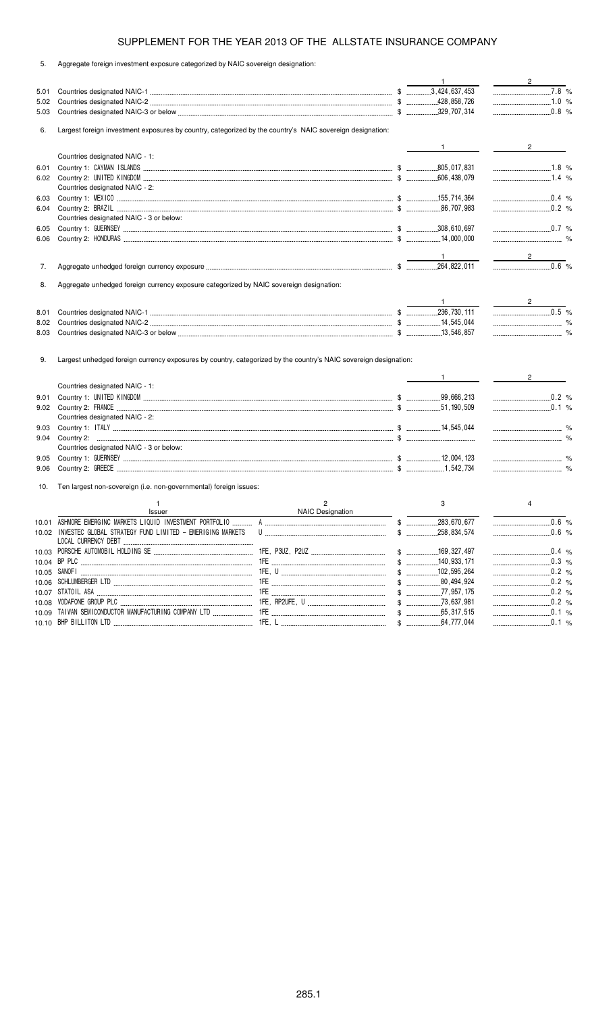| 5. | Aggregate foreign investment exposure categorized by NAIC sovereign designation: |  |  |
|----|----------------------------------------------------------------------------------|--|--|
|    |                                                                                  |  |  |

|      |                                                                                                                  |                                    | $\mathbf{1}$      | $\overline{2}$                   |
|------|------------------------------------------------------------------------------------------------------------------|------------------------------------|-------------------|----------------------------------|
| 5.01 |                                                                                                                  |                                    |                   | $7.8\%$                          |
| 5.02 |                                                                                                                  |                                    |                   | 1.0 %                            |
| 5.03 |                                                                                                                  |                                    |                   |                                  |
| 6.   | Largest foreign investment exposures by country, categorized by the country's NAIC sovereign designation:        |                                    |                   |                                  |
|      |                                                                                                                  |                                    |                   |                                  |
|      | Countries designated NAIC - 1:                                                                                   |                                    | $1 \qquad \qquad$ | $\overline{2}$                   |
|      |                                                                                                                  |                                    |                   |                                  |
| 6.01 |                                                                                                                  |                                    |                   |                                  |
| 6.02 |                                                                                                                  |                                    |                   | $1.4\%$                          |
|      | Countries designated NAIC - 2:                                                                                   |                                    |                   |                                  |
| 6.03 |                                                                                                                  |                                    |                   | $\ldots$ 0.4 %                   |
| 6.04 |                                                                                                                  |                                    |                   |                                  |
|      | Countries designated NAIC - 3 or below:                                                                          |                                    |                   |                                  |
| 6.05 |                                                                                                                  |                                    |                   |                                  |
| 6.06 |                                                                                                                  |                                    |                   |                                  |
|      |                                                                                                                  |                                    |                   |                                  |
|      |                                                                                                                  |                                    |                   | $2^{\circ}$                      |
| 7.   |                                                                                                                  |                                    |                   | $\overline{0.6}$ %               |
| 8.   | Aggregate unhedged foreign currency exposure categorized by NAIC sovereign designation:                          |                                    |                   |                                  |
|      |                                                                                                                  |                                    |                   |                                  |
| 8.01 |                                                                                                                  |                                    |                   | $\overline{0.5}$ %               |
|      |                                                                                                                  |                                    |                   |                                  |
| 8.02 |                                                                                                                  |                                    |                   |                                  |
| 8.03 |                                                                                                                  |                                    |                   |                                  |
| 9.   | Largest unhedged foreign currency exposures by country, categorized by the country's NAIC sovereign designation: |                                    |                   |                                  |
|      |                                                                                                                  |                                    | $1 \qquad \qquad$ | $2^{\circ}$                      |
|      | Countries designated NAIC - 1:                                                                                   |                                    |                   |                                  |
| 9.01 |                                                                                                                  |                                    |                   | $\frac{1}{2}$ 0.2 %              |
|      |                                                                                                                  |                                    |                   |                                  |
|      | Countries designated NAIC - 2:                                                                                   |                                    |                   |                                  |
| 9.03 |                                                                                                                  |                                    |                   |                                  |
| 9.04 |                                                                                                                  |                                    |                   |                                  |
|      | Countries designated NAIC - 3 or below:                                                                          |                                    |                   |                                  |
| 9.05 |                                                                                                                  |                                    |                   | $\sim$ $\%$                      |
| 9.06 |                                                                                                                  |                                    |                   |                                  |
|      |                                                                                                                  |                                    |                   |                                  |
| 10.  | Ten largest non-sovereign (i.e. non-governmental) foreign issues:                                                |                                    |                   |                                  |
|      | $\mathbf{1}$<br>Issuer                                                                                           | $\overline{c}$<br>NAIC Designation | 3                 | $\overline{4}$                   |
|      |                                                                                                                  |                                    |                   | $\ldots$ 0.6 %                   |
|      | 10.02 INVESTEC GLOBAL STRATEGY FUND LIMITED - EMERIGING MARKETS                                                  |                                    |                   | 0.6 %                            |
|      |                                                                                                                  |                                    |                   |                                  |
|      |                                                                                                                  |                                    |                   | $\ldots$ 0.4 %                   |
|      |                                                                                                                  |                                    | $$$ 140,933,171   | $\ldots$ 0.3 %                   |
|      |                                                                                                                  |                                    | $$$ 102, 595, 264 |                                  |
|      |                                                                                                                  |                                    |                   |                                  |
|      |                                                                                                                  |                                    |                   |                                  |
|      |                                                                                                                  |                                    |                   |                                  |
|      |                                                                                                                  |                                    |                   |                                  |
|      |                                                                                                                  |                                    |                   |                                  |
|      |                                                                                                                  |                                    |                   | $\ldots$ 0.1 %<br>$\ldots$ 0.1 % |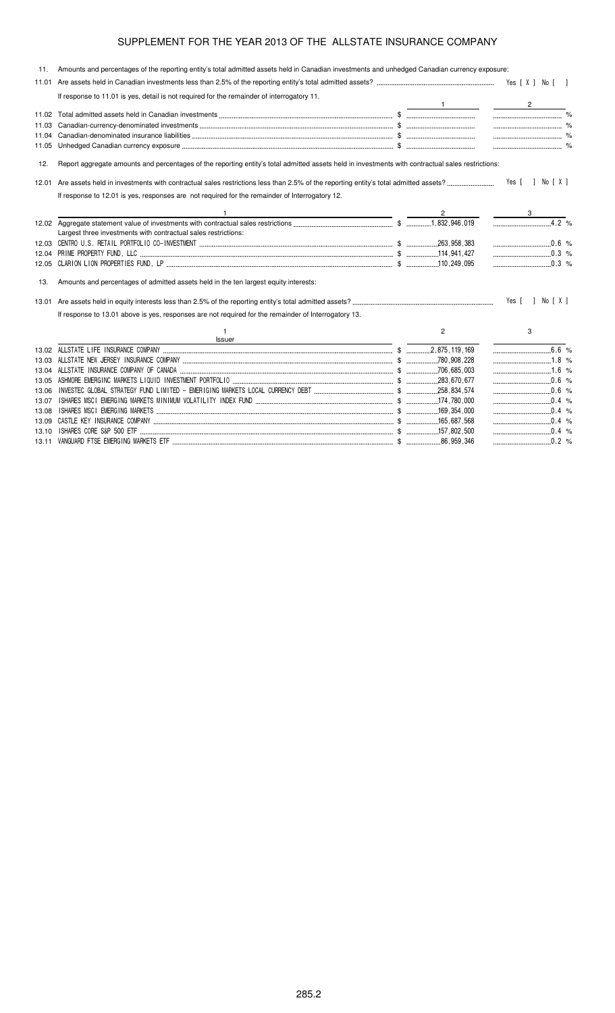| 11.   | Amounts and percentages of the reporting entity's total admitted assets held in Canadian investments and unhedged Canadian currency exposure:     |                |                        |
|-------|---------------------------------------------------------------------------------------------------------------------------------------------------|----------------|------------------------|
|       |                                                                                                                                                   |                |                        |
|       | If response to 11.01 is yes, detail is not required for the remainder of interrogatory 11.                                                        |                |                        |
|       |                                                                                                                                                   |                | $\frac{1}{\sqrt{2}}$ 2 |
|       |                                                                                                                                                   |                |                        |
| 11.03 |                                                                                                                                                   |                |                        |
| 11.04 |                                                                                                                                                   |                |                        |
| 11.05 |                                                                                                                                                   |                |                        |
| 12.   | Report aggregate amounts and percentages of the reporting entity's total admitted assets held in investments with contractual sales restrictions: |                |                        |
| 12.01 |                                                                                                                                                   |                | Yes [ ] No [ X ]       |
|       | If response to 12.01 is yes, responses are not required for the remainder of Interrogatory 12.                                                    |                |                        |
|       |                                                                                                                                                   | $2^{\circ}$    |                        |
|       |                                                                                                                                                   |                |                        |
|       | Largest three investments with contractual sales restrictions:                                                                                    |                |                        |
|       |                                                                                                                                                   |                | $\ldots$ 0.6 %         |
| 12.04 |                                                                                                                                                   |                | $\ldots$ 0.3 %         |
| 12.05 |                                                                                                                                                   |                | $\ldots$ 0.3 %         |
| 13.   | Amounts and percentages of admitted assets held in the ten largest equity interests:                                                              |                |                        |
|       |                                                                                                                                                   |                | Yes [ ] No [ X ]       |
|       | If response to 13.01 above is yes, responses are not required for the remainder of Interrogatory 13.                                              |                |                        |
|       | $\mathbf{1}$<br>Issuer<br><u> 1989 - Johann Stoff, deutscher Stoffen und der Stoffen und der Stoffen und der Stoffen und der Stoffen und der</u>  | $\overline{c}$ | 3                      |
| 13.02 |                                                                                                                                                   |                |                        |
|       |                                                                                                                                                   |                |                        |
|       |                                                                                                                                                   |                |                        |
| 13.05 |                                                                                                                                                   |                |                        |
| 13.06 |                                                                                                                                                   |                |                        |
| 13.07 |                                                                                                                                                   |                | $\ldots$ 0.4 %         |
| 13.08 |                                                                                                                                                   |                | $\ldots$ 0.4 %         |
| 13.09 |                                                                                                                                                   |                | $\ldots$ 0.4 %         |
|       |                                                                                                                                                   |                | $0.4\%$                |
|       |                                                                                                                                                   |                |                        |

13.11 !)\$ ")) "\* \$ # %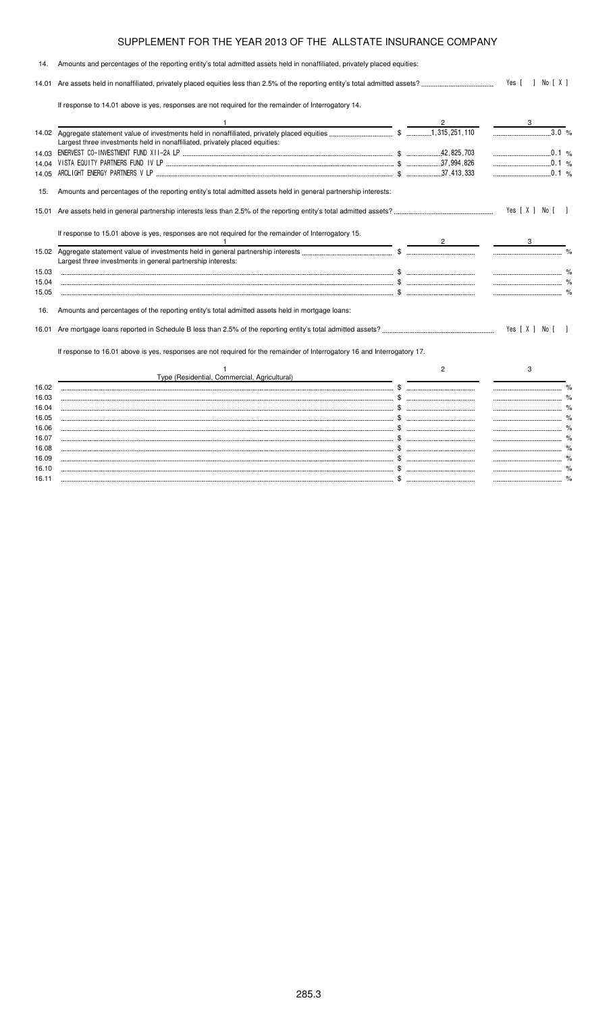| 14.   | Amounts and percentages of the reporting entity's total admitted assets held in nonaffiliated, privately placed equities: |                |                  |  |
|-------|---------------------------------------------------------------------------------------------------------------------------|----------------|------------------|--|
|       |                                                                                                                           |                | Yes [ ] No [ X ] |  |
|       | If response to 14.01 above is yes, responses are not required for the remainder of Interrogatory 14.                      |                |                  |  |
|       |                                                                                                                           |                |                  |  |
|       | Largest three investments held in nonaffiliated, privately placed equities:                                               |                | 3.0 %            |  |
|       |                                                                                                                           |                | $\sim$ 0.1 %     |  |
| 14.04 |                                                                                                                           |                | 0.1 %            |  |
| 14.05 |                                                                                                                           |                | $\ldots$ 0.1 %   |  |
| 15.   | Amounts and percentages of the reporting entity's total admitted assets held in general partnership interests:            |                |                  |  |
| 15.01 |                                                                                                                           |                | Yes [ X ] No [ ] |  |
|       | If response to 15.01 above is yes, responses are not required for the remainder of Interrogatory 15.                      |                |                  |  |
|       | Largest three investments in general partnership interests:                                                               |                |                  |  |
| 15.03 |                                                                                                                           |                |                  |  |
| 15.04 |                                                                                                                           |                |                  |  |
| 15.05 |                                                                                                                           |                |                  |  |
| 16.   | Amounts and percentages of the reporting entity's total admitted assets held in mortgage loans:                           |                |                  |  |
| 16.01 |                                                                                                                           |                | Yes [ X ] No [ ] |  |
|       | If response to 16.01 above is yes, responses are not required for the remainder of Interrogatory 16 and Interrogatory 17. |                |                  |  |
|       |                                                                                                                           | $\overline{c}$ | 3                |  |
|       | Type (Residential, Commercial, Agricultural)                                                                              |                |                  |  |
| 16.02 |                                                                                                                           |                |                  |  |
| 16.03 |                                                                                                                           |                |                  |  |
| 16.04 |                                                                                                                           |                |                  |  |
| 16.05 |                                                                                                                           |                |                  |  |
| 16.06 |                                                                                                                           |                |                  |  |
| 16.07 |                                                                                                                           |                |                  |  |
| 16.08 |                                                                                                                           |                |                  |  |

16.09 \$ % 16.10 \$ % 16.11 \$ %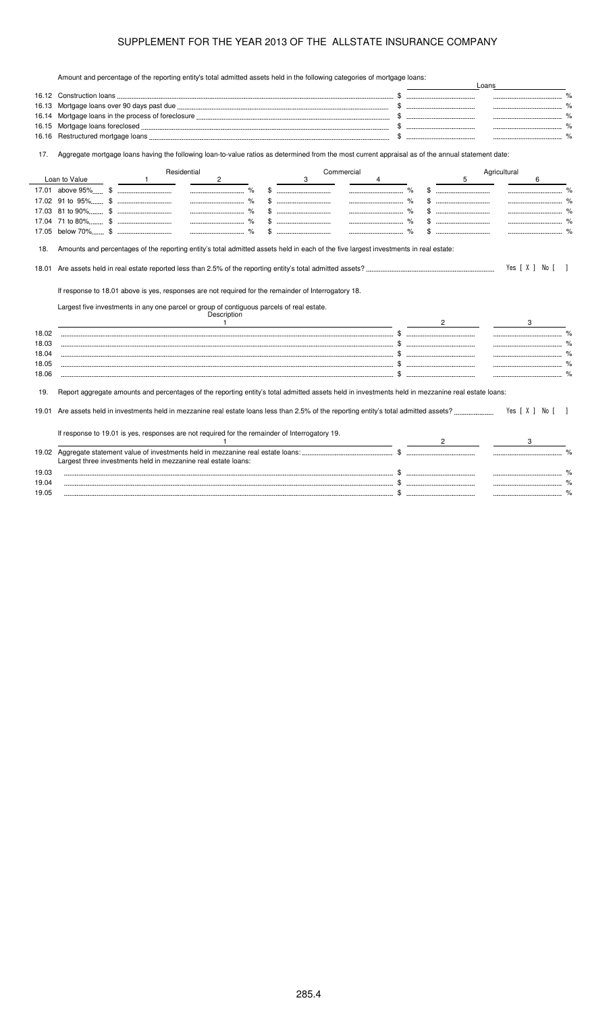Amount and percentage of the reporting entity's total admitted assets held in the following categories of mortgage loans:

|       | Amount and percentage of the reporting entity's total admitted assets held in the following categories of mongage loans.                                                                                                           |                                                                             |   | Loans        |                  |      |
|-------|------------------------------------------------------------------------------------------------------------------------------------------------------------------------------------------------------------------------------------|-----------------------------------------------------------------------------|---|--------------|------------------|------|
|       |                                                                                                                                                                                                                                    |                                                                             |   |              |                  |      |
| 16.13 |                                                                                                                                                                                                                                    | $\mathbb{S}$ . The contract of $\mathbb{S}$ is the contract of $\mathbb{S}$ |   |              |                  |      |
| 16.14 |                                                                                                                                                                                                                                    |                                                                             |   |              |                  |      |
| 16.15 |                                                                                                                                                                                                                                    |                                                                             |   |              |                  |      |
| 16.16 |                                                                                                                                                                                                                                    |                                                                             |   |              |                  |      |
| 17.   | Aggregate mortgage loans having the following loan-to-value ratios as determined from the most current appraisal as of the annual statement date:                                                                                  |                                                                             |   |              |                  |      |
|       | Residential<br>Commercial                                                                                                                                                                                                          |                                                                             |   | Agricultural |                  |      |
|       | Loan to Value<br>$\overline{2}$<br>3<br>$\mathbf{1}$<br>4                                                                                                                                                                          |                                                                             | 5 |              | 6                |      |
|       |                                                                                                                                                                                                                                    |                                                                             |   |              |                  |      |
|       |                                                                                                                                                                                                                                    |                                                                             |   |              |                  |      |
|       |                                                                                                                                                                                                                                    |                                                                             |   |              |                  |      |
|       |                                                                                                                                                                                                                                    |                                                                             |   |              |                  |      |
|       |                                                                                                                                                                                                                                    |                                                                             |   |              |                  |      |
| 18.   | Amounts and percentages of the reporting entity's total admitted assets held in each of the five largest investments in real estate:                                                                                               |                                                                             |   |              | Yes [ X ] No [ ] |      |
|       | If response to 18.01 above is yes, responses are not required for the remainder of Interrogatory 18.<br>Largest five investments in any one parcel or group of contiguous parcels of real estate.<br>Description<br>$\overline{1}$ | $\mathbf{2}$                                                                |   |              | 3                |      |
| 18.02 |                                                                                                                                                                                                                                    |                                                                             |   |              |                  | $\%$ |
| 18.03 |                                                                                                                                                                                                                                    |                                                                             |   |              |                  |      |
| 18.04 |                                                                                                                                                                                                                                    |                                                                             |   |              |                  |      |
| 18.05 |                                                                                                                                                                                                                                    |                                                                             |   |              |                  |      |
| 18.06 |                                                                                                                                                                                                                                    |                                                                             |   |              |                  |      |
| 19.   | Report aggregate amounts and percentages of the reporting entity's total admitted assets held in investments held in mezzanine real estate loans:                                                                                  |                                                                             |   |              |                  |      |
| 19.01 |                                                                                                                                                                                                                                    |                                                                             |   |              | Yes [X ] No [ ]  |      |
|       | If response to 19.01 is yes, responses are not required for the remainder of Interrogatory 19.                                                                                                                                     |                                                                             |   |              |                  |      |
|       | Largest three investments held in mezzanine real estate loans:                                                                                                                                                                     |                                                                             |   |              |                  |      |
| 19.03 |                                                                                                                                                                                                                                    |                                                                             |   |              |                  |      |
| 19.04 |                                                                                                                                                                                                                                    |                                                                             |   |              |                  |      |
| 19.05 |                                                                                                                                                                                                                                    |                                                                             |   |              |                  |      |